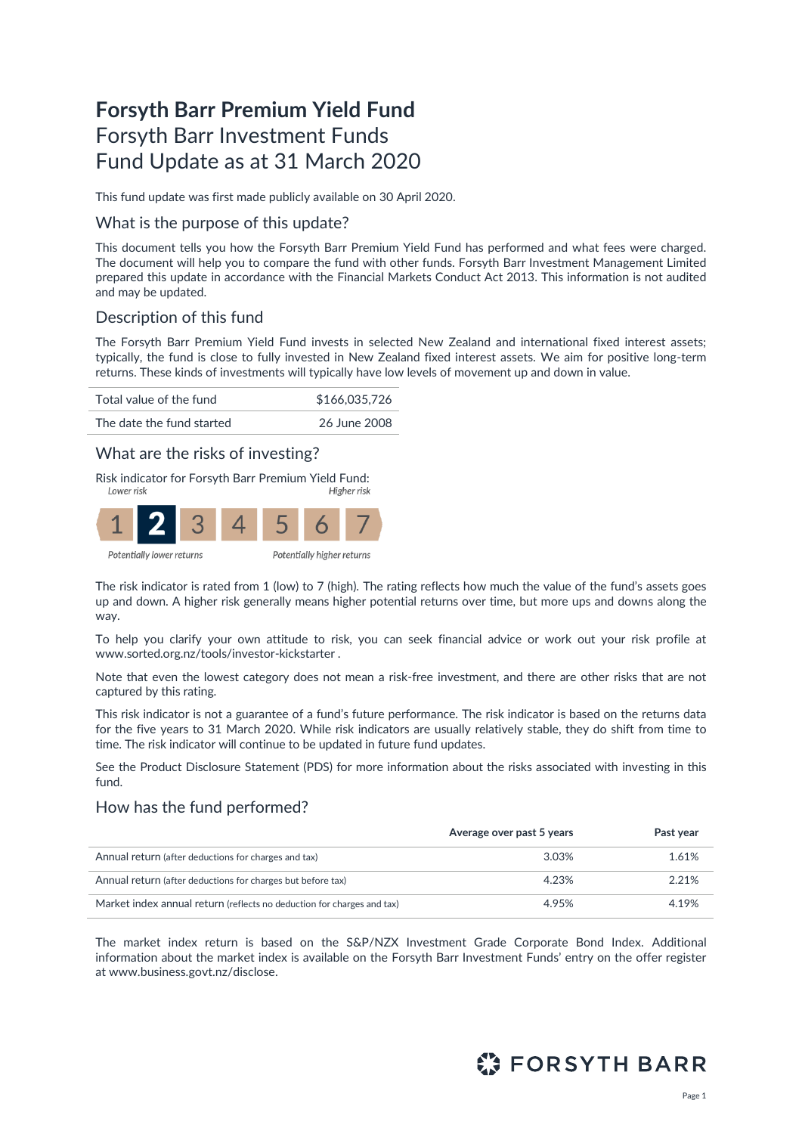# **Forsyth Barr Premium Yield Fund** Forsyth Barr Investment Funds Fund Update as at 31 March 2020

This fund update was first made publicly available on 30 April 2020.

### What is the purpose of this update?

This document tells you how the Forsyth Barr Premium Yield Fund has performed and what fees were charged. The document will help you to compare the fund with other funds. Forsyth Barr Investment Management Limited prepared this update in accordance with the Financial Markets Conduct Act 2013. This information is not audited and may be updated.

# Description of this fund

The Forsyth Barr Premium Yield Fund invests in selected New Zealand and international fixed interest assets; typically, the fund is close to fully invested in New Zealand fixed interest assets. We aim for positive long-term returns. These kinds of investments will typically have low levels of movement up and down in value.



## What are the risks of investing?

Risk indicator for Forsyth Barr Premium Yield Fund:



The risk indicator is rated from 1 (low) to 7 (high). The rating reflects how much the value of the fund's assets goes up and down. A higher risk generally means higher potential returns over time, but more ups and downs along the way.

To help you clarify your own attitude to risk, you can seek financial advice or work out your risk profile at [www.sorted.org.nz/tools/investor-kickstarter](http://www.sorted.org.nz/tools/investor-kickstarter) .

Note that even the lowest category does not mean a risk-free investment, and there are other risks that are not captured by this rating.

This risk indicator is not a guarantee of a fund's future performance. The risk indicator is based on the returns data for the five years to 31 March 2020. While risk indicators are usually relatively stable, they do shift from time to time. The risk indicator will continue to be updated in future fund updates.

See the Product Disclosure Statement (PDS) for more information about the risks associated with investing in this fund.

## How has the fund performed?

|                                                                        | Average over past 5 years | Past year |
|------------------------------------------------------------------------|---------------------------|-----------|
| Annual return (after deductions for charges and tax)                   | 3.03%                     | 1.61%     |
| Annual return (after deductions for charges but before tax)            | 4.23%                     | 2.21%     |
| Market index annual return (reflects no deduction for charges and tax) | 4.95%                     | 4.19%     |

The market index return is based on the S&P/NZX Investment Grade Corporate Bond Index. Additional information about the market index is available on the Forsyth Barr Investment Funds' entry on the offer register at [www.business.govt.nz/disclose.](http://www.business.govt.nz/disclose)

# **ET FORSYTH BARR**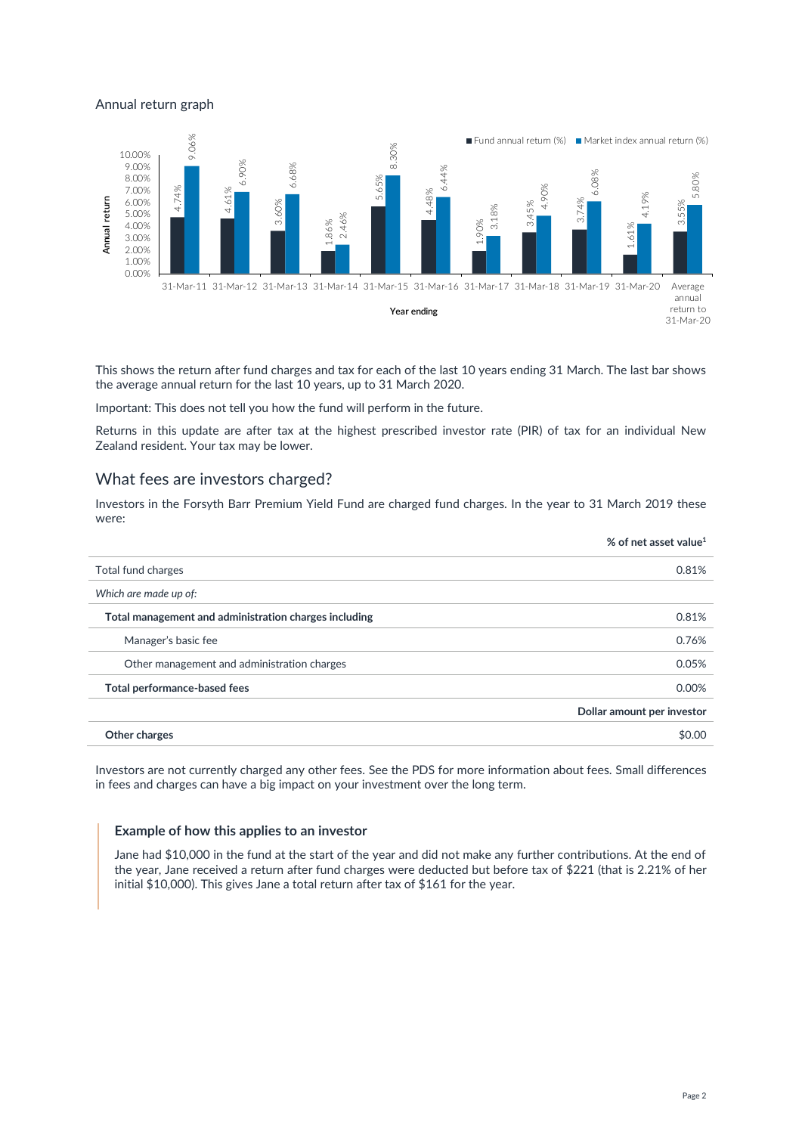#### Annual return graph



This shows the return after fund charges and tax for each of the last 10 years ending 31 March. The last bar shows the average annual return for the last 10 years, up to 31 March 2020.

Important: This does not tell you how the fund will perform in the future.

Returns in this update are after tax at the highest prescribed investor rate (PIR) of tax for an individual New Zealand resident. Your tax may be lower.

### What fees are investors charged?

Investors in the Forsyth Barr Premium Yield Fund are charged fund charges. In the year to 31 March 2019 these were:

|                                                       | % of net asset value <sup>1</sup> |
|-------------------------------------------------------|-----------------------------------|
| Total fund charges                                    | 0.81%                             |
| Which are made up of:                                 |                                   |
| Total management and administration charges including | 0.81%                             |
| Manager's basic fee                                   | 0.76%                             |
| Other management and administration charges           | 0.05%                             |
| Total performance-based fees                          | 0.00%                             |
|                                                       | Dollar amount per investor        |
| Other charges                                         | \$0.00                            |
|                                                       |                                   |

Investors are not currently charged any other fees. See the PDS for more information about fees. Small differences in fees and charges can have a big impact on your investment over the long term.

#### **Example of how this applies to an investor**

Jane had \$10,000 in the fund at the start of the year and did not make any further contributions. At the end of the year, Jane received a return after fund charges were deducted but before tax of \$221 (that is 2.21% of her initial \$10,000). This gives Jane a total return after tax of \$161 for the year.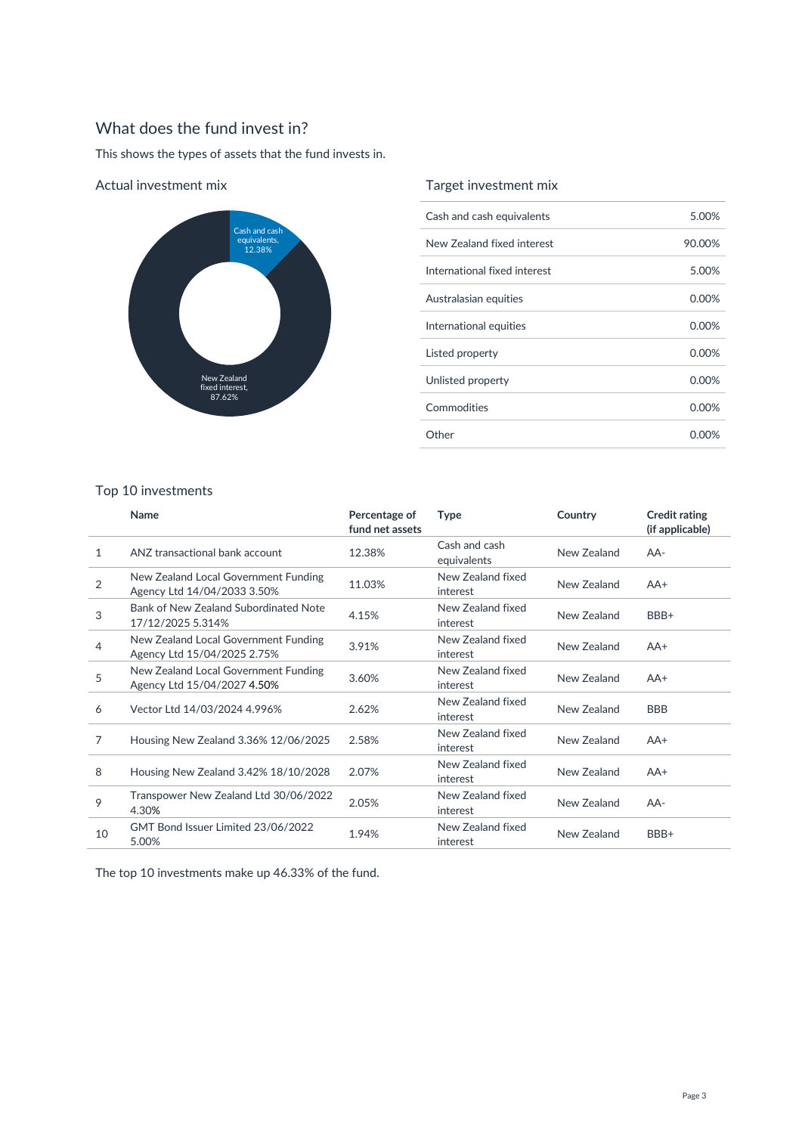# What does the fund invest in?

This shows the types of assets that the fund invests in.



#### Actual investment mix

## Target investment mix

| Cash and cash equivalents    | 5.00%    |
|------------------------------|----------|
| New Zealand fixed interest   | 90.00%   |
| International fixed interest | 5.00%    |
| Australasian equities        | 0.00%    |
| International equities       | 0.00%    |
| Listed property              | 0.00%    |
| Unlisted property            | $0.00\%$ |
| Commodities                  | 0.00%    |
| Other                        | 0.00%    |

## Top 10 investments

|                | Name                                                                | Percentage of<br>fund net assets | <b>Type</b>                   | Country     | <b>Credit rating</b><br>(if applicable) |
|----------------|---------------------------------------------------------------------|----------------------------------|-------------------------------|-------------|-----------------------------------------|
| 1              | ANZ transactional bank account                                      | 12.38%                           | Cash and cash<br>equivalents  | New Zealand | AA-                                     |
| $\overline{2}$ | New Zealand Local Government Funding<br>Agency Ltd 14/04/2033 3.50% | 11.03%                           | New Zealand fixed<br>interest | New Zealand | $AA+$                                   |
| 3              | Bank of New Zealand Subordinated Note<br>17/12/2025 5.314%          | 4.15%                            | New Zealand fixed<br>interest | New Zealand | BBB+                                    |
| 4              | New Zealand Local Government Funding<br>Agency Ltd 15/04/2025 2.75% | 3.91%                            | New Zealand fixed<br>interest | New Zealand | $AA+$                                   |
| 5              | New Zealand Local Government Funding<br>Agency Ltd 15/04/2027 4.50% | 3.60%                            | New Zealand fixed<br>interest | New Zealand | $AA+$                                   |
| 6              | Vector Ltd 14/03/2024 4.996%                                        | 2.62%                            | New Zealand fixed<br>interest | New Zealand | <b>BBB</b>                              |
| 7              | Housing New Zealand 3.36% 12/06/2025                                | 2.58%                            | New Zealand fixed<br>interest | New Zealand | $AA+$                                   |
| 8              | Housing New Zealand 3.42% 18/10/2028                                | 2.07%                            | New Zealand fixed<br>interest | New Zealand | $AA+$                                   |
| 9              | Transpower New Zealand Ltd 30/06/2022<br>4.30%                      | 2.05%                            | New Zealand fixed<br>interest | New Zealand | $AA-$                                   |
| 10             | GMT Bond Issuer Limited 23/06/2022<br>5.00%                         | 1.94%                            | New Zealand fixed<br>interest | New Zealand | BBB+                                    |

The top 10 investments make up 46.33% of the fund.